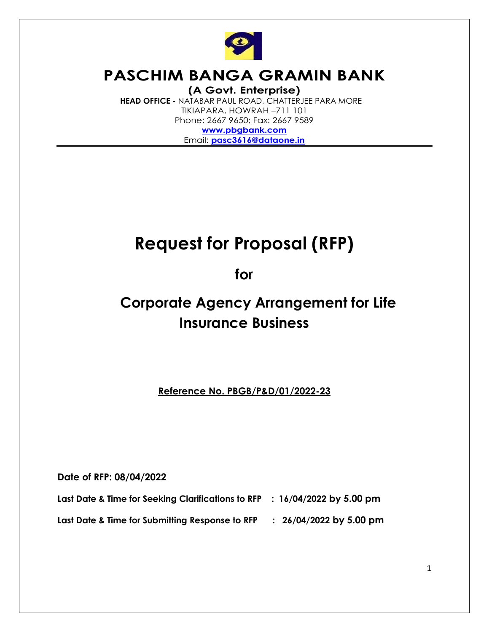

# **PASCHIM BANGA GRAMIN BANK (A Govt. Enterprise)**

 **HEAD OFFICE -** NATABAR PAUL ROAD, CHATTERJEE PARA MORE TIKIAPARA, HOWRAH –711 101 Phone: 2667 9650; Fax: 2667 9589 **[www.pbgbank.com](http://www.pbgbank.com/)** Email: **[pasc3616@dataone.in](mailto:pasc3616@dataone.in)**

# **Request for Proposal (RFP)**

**for**

# **Corporate Agency Arrangement for Life Insurance Business**

**Reference No. PBGB/P&D/01/2022-23**

**Date of RFP: 08/04/2022**

**Last Date & Time for Seeking Clarifications to RFP : 16/04/2022 by 5.00 pm**

**Last Date & Time for Submitting Response to RFP : 26/04/2022 by 5.00 pm**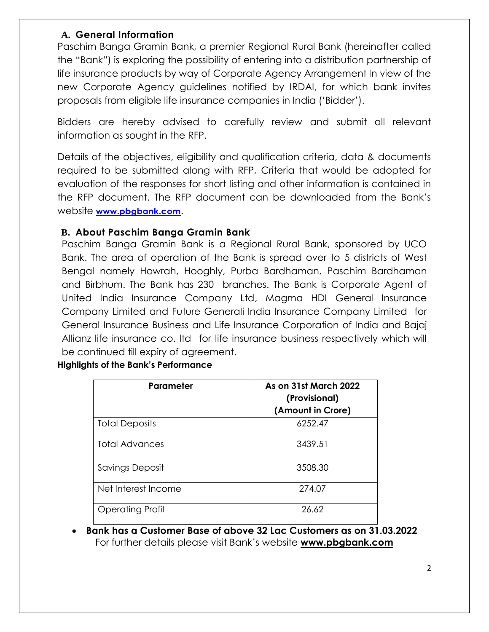### **A. General Information**

Paschim Banga Gramin Bank, a premier Regional Rural Bank (hereinafter called the "Bank") is exploring the possibility of entering into a distribution partnership of life insurance products by way of Corporate Agency Arrangement In view of the new Corporate Agency guidelines notified by IRDAI, for which bank invites proposals from eligible life insurance companies in India ("Bidder").

Bidders are hereby advised to carefully review and submit all relevant information as sought in the RFP.

Details of the objectives, eligibility and qualification criteria, data & documents required to be submitted along with RFP, Criteria that would be adopted for evaluation of the responses for short listing and other information is contained in the RFP document. The RFP document can be downloaded from the Bank"s website **[www.pbgbank.com](http://www.pbgbank.com/)**.

### **B. About Paschim Banga Gramin Bank**

Paschim Banga Gramin Bank is a Regional Rural Bank, sponsored by UCO Bank. The area of operation of the Bank is spread over to 5 districts of West Bengal namely Howrah, Hooghly, Purba Bardhaman, Paschim Bardhaman and Birbhum. The Bank has 230 branches. The Bank is Corporate Agent of United India Insurance Company Ltd, Magma HDI General Insurance Company Limited and Future Generali India Insurance Company Limited for General Insurance Business and Life Insurance Corporation of India and Bajaj Allianz life insurance co. ltd for life insurance business respectively which will be continued till expiry of agreement.

### **Highlights of the Bank's Performance**

| Parameter              | As on 31st March 2022<br>(Provisional)<br>(Amount in Crore) |
|------------------------|-------------------------------------------------------------|
| <b>Total Deposits</b>  | 6252.47                                                     |
| <b>Total Advances</b>  | 3439.51                                                     |
| <b>Savings Deposit</b> | 3508.30                                                     |
| Net Interest Income    | 274.07                                                      |
| Operating Profit       | 26.62                                                       |

 **Bank has a Customer Base of above 32 Lac Customers as on 31.03.2022**  For further details please visit Bank"s website **www.pbgbank.com**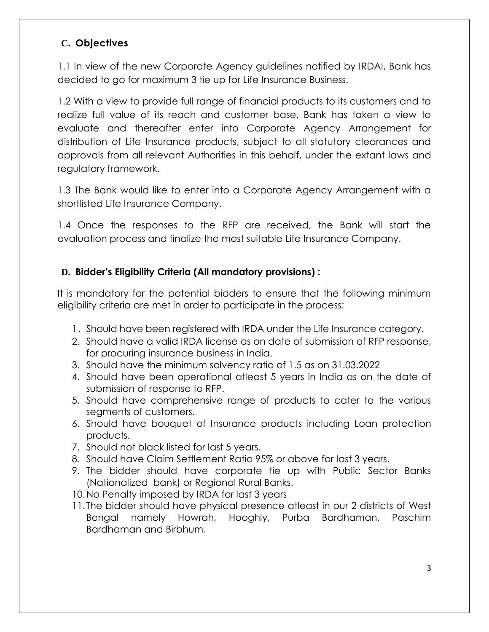### **C. Objectives**

1.1 In view of the new Corporate Agency guidelines notified by IRDAI, Bank has decided to go for maximum 3 tie up for Life Insurance Business.

1.2 With a view to provide full range of financial products to its customers and to realize full value of its reach and customer base, Bank has taken a view to evaluate and thereafter enter into Corporate Agency Arrangement for distribution of Life Insurance products, subject to all statutory clearances and approvals from all relevant Authorities in this behalf, under the extant laws and regulatory framework.

1.3 The Bank would like to enter into a Corporate Agency Arrangement with a shortlisted Life Insurance Company.

1.4 Once the responses to the RFP are received, the Bank will start the evaluation process and finalize the most suitable Life Insurance Company.

### **D. Bidder's Eligibility Criteria (All mandatory provisions) :**

It is mandatory for the potential bidders to ensure that the following minimum eligibility criteria are met in order to participate in the process:

- 1. Should have been registered with IRDA under the Life Insurance category.
- 2. Should have a valid IRDA license as on date of submission of RFP response, for procuring insurance business in India.
- 3. Should have the minimum solvency ratio of 1.5 as on 31.03.2022
- 4. Should have been operational atleast 5 years in India as on the date of submission of response to RFP.
- 5. Should have comprehensive range of products to cater to the various segments of customers.
- 6. Should have bouquet of Insurance products including Loan protection products.
- 7. Should not black listed for last 5 years.
- 8. Should have Claim Settlement Ratio 95% or above for last 3 years.
- 9. The bidder should have corporate tie up with Public Sector Banks (Nationalized bank) or Regional Rural Banks.
- 10.No Penalty imposed by IRDA for last 3 years
- 11. The bidder should have physical presence atleast in our 2 districts of West Bengal namely Howrah, Hooghly, Purba Bardhaman, Paschim Bardhaman and Birbhum.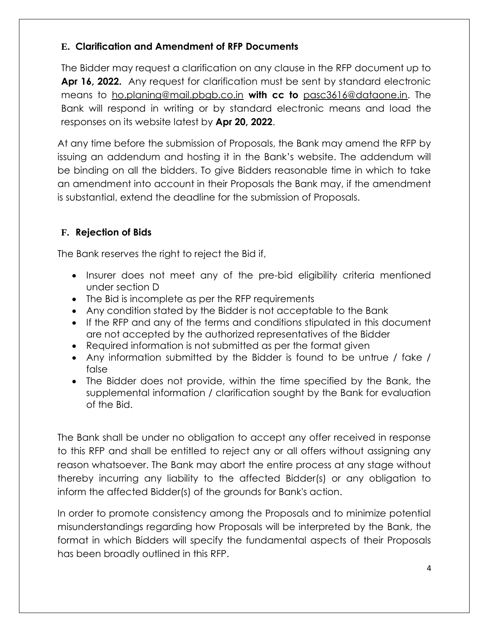### **E. Clarification and Amendment of RFP Documents**

The Bidder may request a clarification on any clause in the RFP document up to **Apr 16, 2022.** Any request for clarification must be sent by standard electronic means to [ho.planing@mail.pbgb.co.in](mailto:ho.planing@mail.pbgb.co.in) **with cc to** [pasc3616@dataone.in.](mailto:pasc3616@dataone.in) The Bank will respond in writing or by standard electronic means and load the responses on its website latest by **Apr 20, 2022**.

At any time before the submission of Proposals, the Bank may amend the RFP by issuing an addendum and hosting it in the Bank"s website. The addendum will be binding on all the bidders. To give Bidders reasonable time in which to take an amendment into account in their Proposals the Bank may, if the amendment is substantial, extend the deadline for the submission of Proposals.

### **F. Rejection of Bids**

The Bank reserves the right to reject the Bid if,

- Insurer does not meet any of the pre-bid eligibility criteria mentioned under section D
- The Bid is incomplete as per the RFP requirements
- Any condition stated by the Bidder is not acceptable to the Bank
- If the RFP and any of the terms and conditions stipulated in this document are not accepted by the authorized representatives of the Bidder
- Required information is not submitted as per the format given
- Any information submitted by the Bidder is found to be untrue / fake / false
- The Bidder does not provide, within the time specified by the Bank, the supplemental information / clarification sought by the Bank for evaluation of the Bid.

The Bank shall be under no obligation to accept any offer received in response to this RFP and shall be entitled to reject any or all offers without assigning any reason whatsoever. The Bank may abort the entire process at any stage without thereby incurring any liability to the affected Bidder(s) or any obligation to inform the affected Bidder(s) of the grounds for Bank's action.

In order to promote consistency among the Proposals and to minimize potential misunderstandings regarding how Proposals will be interpreted by the Bank, the format in which Bidders will specify the fundamental aspects of their Proposals has been broadly outlined in this RFP.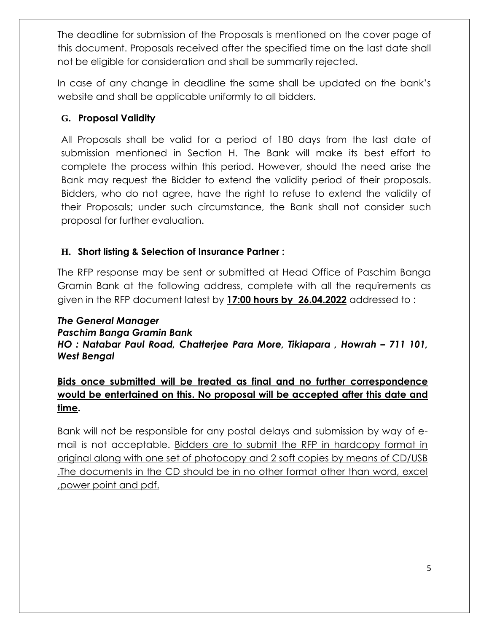The deadline for submission of the Proposals is mentioned on the cover page of this document. Proposals received after the specified time on the last date shall not be eligible for consideration and shall be summarily rejected.

In case of any change in deadline the same shall be updated on the bank"s website and shall be applicable uniformly to all bidders.

### **G. Proposal Validity**

All Proposals shall be valid for a period of 180 days from the last date of submission mentioned in Section H. The Bank will make its best effort to complete the process within this period. However, should the need arise the Bank may request the Bidder to extend the validity period of their proposals. Bidders, who do not agree, have the right to refuse to extend the validity of their Proposals; under such circumstance, the Bank shall not consider such proposal for further evaluation.

### **H. Short listing & Selection of Insurance Partner :**

The RFP response may be sent or submitted at Head Office of Paschim Banga Gramin Bank at the following address, complete with all the requirements as given in the RFP document latest by **17:00 hours by 26.04.2022** addressed to :

### *The General Manager Paschim Banga Gramin Bank HO* : Natabar Paul Road, Chatterjee Para More, Tikiapara, Howrah - 711 101, *West Bengal*

# **Bids once submitted will be treated as final and no further correspondence would be entertained on this. No proposal will be accepted after this date and time.**

Bank will not be responsible for any postal delays and submission by way of email is not acceptable. Bidders are to submit the RFP in hardcopy format in original along with one set of photocopy and 2 soft copies by means of CD/USB .The documents in the CD should be in no other format other than word, excel ,power point and pdf.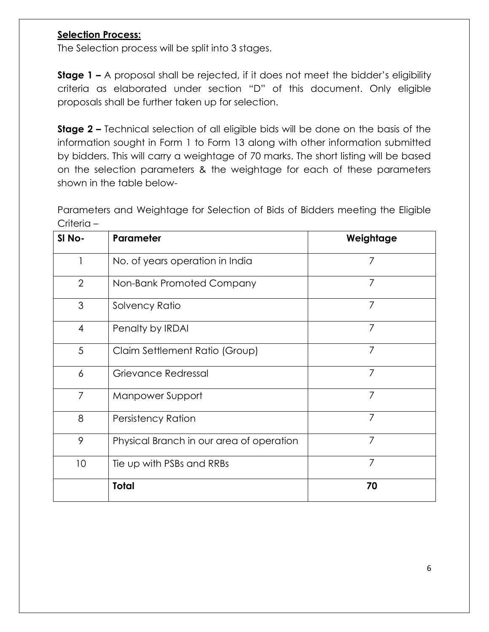### **Selection Process:**

The Selection process will be split into 3 stages.

**Stage 1 -** A proposal shall be rejected, if it does not meet the bidder's eligibility criteria as elaborated under section "D" of this document. Only eligible proposals shall be further taken up for selection.

**Stage 2 –** Technical selection of all eligible bids will be done on the basis of the information sought in Form 1 to Form 13 along with other information submitted by bidders. This will carry a weightage of 70 marks. The short listing will be based on the selection parameters & the weightage for each of these parameters shown in the table below-

Parameters and Weightage for Selection of Bids of Bidders meeting the Eligible Criteria –

| SI <sub>No</sub> - | Parameter                                | Weightage      |
|--------------------|------------------------------------------|----------------|
|                    | No. of years operation in India          | 7              |
| $\overline{2}$     | Non-Bank Promoted Company                | 7              |
| 3                  | Solvency Ratio                           | $\overline{7}$ |
| $\overline{4}$     | Penalty by IRDAI                         | 7              |
| 5                  | Claim Settlement Ratio (Group)           | 7              |
| 6                  | Grievance Redressal                      | 7              |
| 7                  | Manpower Support                         | 7              |
| 8                  | <b>Persistency Ration</b>                | 7              |
| 9                  | Physical Branch in our area of operation | 7              |
| 10                 | Tie up with PSBs and RRBs                | 7              |
|                    | <b>Total</b>                             | 70             |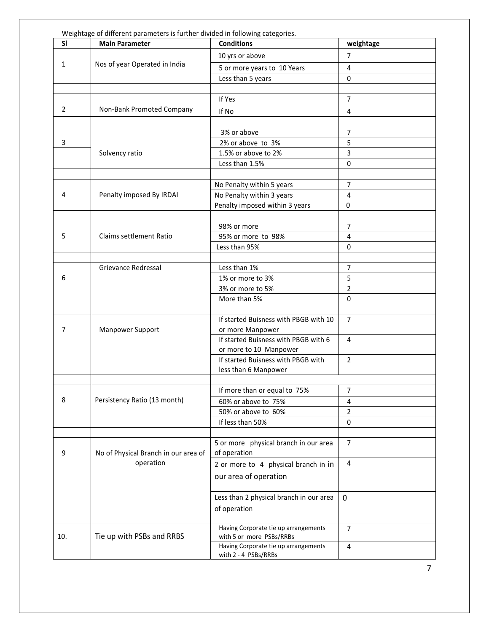| SI. | <b>Main Parameter</b>                             | <b>Conditions</b>                                                | weightage      |
|-----|---------------------------------------------------|------------------------------------------------------------------|----------------|
|     |                                                   | 10 yrs or above                                                  | $\overline{7}$ |
| 1   | Nos of year Operated in India                     | 5 or more years to 10 Years                                      | 4              |
|     |                                                   | Less than 5 years                                                | $\Omega$       |
|     |                                                   |                                                                  |                |
|     |                                                   | If Yes                                                           | 7              |
| 2   | Non-Bank Promoted Company                         | If No                                                            | 4              |
|     |                                                   |                                                                  |                |
|     |                                                   | 3% or above                                                      | 7              |
| 3   |                                                   | 2% or above to 3%                                                | 5              |
|     | Solvency ratio                                    | 1.5% or above to 2%                                              | 3              |
|     |                                                   | Less than 1.5%                                                   | 0              |
|     |                                                   |                                                                  |                |
|     |                                                   | No Penalty within 5 years                                        | 7              |
| 4   | Penalty imposed By IRDAI                          | No Penalty within 3 years                                        | 4              |
|     |                                                   | Penalty imposed within 3 years                                   | $\Omega$       |
|     |                                                   |                                                                  |                |
|     |                                                   | 98% or more                                                      | 7              |
| 5   | Claims settlement Ratio                           | 95% or more to 98%                                               | $\overline{4}$ |
|     |                                                   | Less than 95%                                                    | 0              |
|     |                                                   |                                                                  |                |
|     | Grievance Redressal                               | Less than 1%                                                     | $\overline{7}$ |
| 6   |                                                   | 1% or more to 3%                                                 | 5              |
|     |                                                   | 3% or more to 5%                                                 | $\overline{2}$ |
|     |                                                   | More than 5%                                                     | 0              |
|     |                                                   |                                                                  |                |
|     |                                                   | If started Buisness with PBGB with 10                            | $\overline{7}$ |
| 7   | Manpower Support                                  | or more Manpower                                                 |                |
|     |                                                   | If started Buisness with PBGB with 6                             | $\overline{4}$ |
|     |                                                   | or more to 10 Manpower                                           |                |
|     |                                                   | If started Buisness with PBGB with                               | $\overline{2}$ |
|     |                                                   | less than 6 Manpower                                             |                |
|     |                                                   |                                                                  |                |
| 8   |                                                   | If more than or equal to 75%                                     | 7              |
|     | Persistency Ratio (13 month)                      | 60% or above to 75%                                              | 4              |
|     |                                                   | 50% or above to 60%                                              | $\overline{2}$ |
|     |                                                   | If less than 50%                                                 | 0              |
|     |                                                   |                                                                  | $\overline{7}$ |
| 9   |                                                   | 5 or more physical branch in our area<br>of operation            |                |
|     | No of Physical Branch in our area of<br>operation |                                                                  | 4              |
|     |                                                   | 2 or more to 4 physical branch in in                             |                |
|     |                                                   | our area of operation                                            |                |
|     |                                                   |                                                                  |                |
|     |                                                   | Less than 2 physical branch in our area                          | $\mathbf 0$    |
|     |                                                   | of operation                                                     |                |
|     |                                                   |                                                                  |                |
| 10. | Tie up with PSBs and RRBS                         | Having Corporate tie up arrangements<br>with 5 or more PSBs/RRBs | $\overline{7}$ |
|     |                                                   | Having Corporate tie up arrangements                             | 4              |
|     |                                                   | with 2 - 4 PSBs/RRBs                                             |                |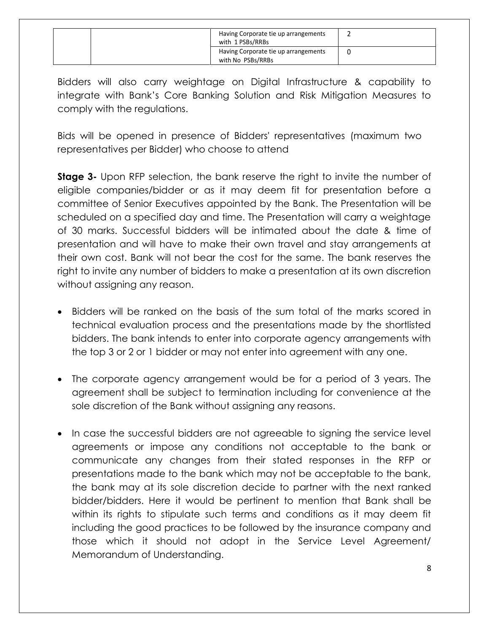|  | Having Corporate tie up arrangements<br>with 1 PSBs/RRBs  |  |
|--|-----------------------------------------------------------|--|
|  | Having Corporate tie up arrangements<br>with No PSBs/RRBs |  |

Bidders will also carry weightage on Digital Infrastructure & capability to integrate with Bank"s Core Banking Solution and Risk Mitigation Measures to comply with the regulations.

Bids will be opened in presence of Bidders' representatives (maximum two representatives per Bidder) who choose to attend

**Stage 3-** Upon RFP selection, the bank reserve the right to invite the number of eligible companies/bidder or as it may deem fit for presentation before a committee of Senior Executives appointed by the Bank. The Presentation will be scheduled on a specified day and time. The Presentation will carry a weightage of 30 marks. Successful bidders will be intimated about the date & time of presentation and will have to make their own travel and stay arrangements at their own cost. Bank will not bear the cost for the same. The bank reserves the right to invite any number of bidders to make a presentation at its own discretion without assigning any reason.

- Bidders will be ranked on the basis of the sum total of the marks scored in technical evaluation process and the presentations made by the shortlisted bidders. The bank intends to enter into corporate agency arrangements with the top 3 or 2 or 1 bidder or may not enter into agreement with any one.
- The corporate agency arrangement would be for a period of 3 years. The agreement shall be subject to termination including for convenience at the sole discretion of the Bank without assigning any reasons.
- In case the successful bidders are not agreeable to signing the service level agreements or impose any conditions not acceptable to the bank or communicate any changes from their stated responses in the RFP or presentations made to the bank which may not be acceptable to the bank, the bank may at its sole discretion decide to partner with the next ranked bidder/bidders. Here it would be pertinent to mention that Bank shall be within its rights to stipulate such terms and conditions as it may deem fit including the good practices to be followed by the insurance company and those which it should not adopt in the Service Level Agreement/ Memorandum of Understanding.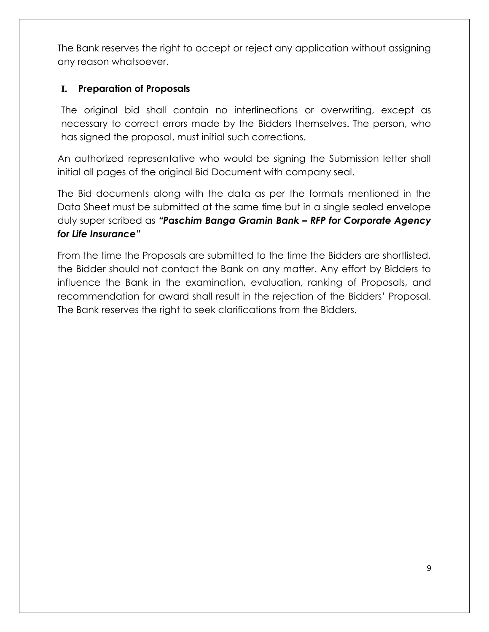The Bank reserves the right to accept or reject any application without assigning any reason whatsoever.

### **I. Preparation of Proposals**

The original bid shall contain no interlineations or overwriting, except as necessary to correct errors made by the Bidders themselves. The person, who has signed the proposal, must initial such corrections.

An authorized representative who would be signing the Submission letter shall initial all pages of the original Bid Document with company seal.

The Bid documents along with the data as per the formats mentioned in the Data Sheet must be submitted at the same time but in a single sealed envelope duly super scribed as *"Paschim Banga Gramin Bank – RFP for Corporate Agency for Life Insurance"* 

From the time the Proposals are submitted to the time the Bidders are shortlisted, the Bidder should not contact the Bank on any matter. Any effort by Bidders to influence the Bank in the examination, evaluation, ranking of Proposals, and recommendation for award shall result in the rejection of the Bidders" Proposal. The Bank reserves the right to seek clarifications from the Bidders.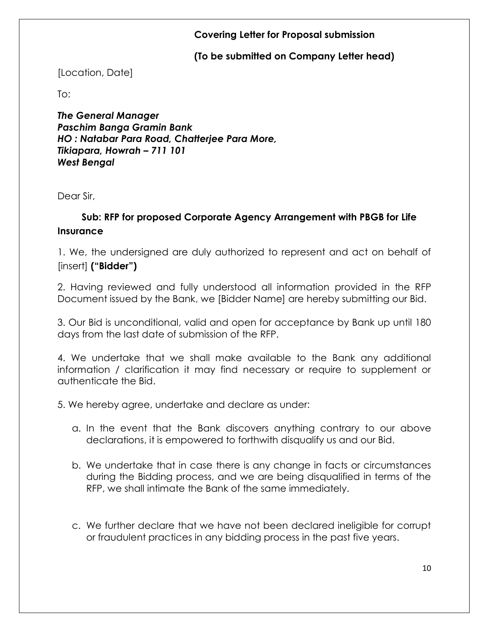### **Covering Letter for Proposal submission**

### **(To be submitted on Company Letter head)**

### [Location, Date]

 $To:$ 

*The General Manager Paschim Banga Gramin Bank HO : Natabar Para Road, Chatterjee Para More, Tikiapara, Howrah – 711 101 West Bengal*

Dear Sir,

### **Sub: RFP for proposed Corporate Agency Arrangement with PBGB for Life Insurance**

1. We, the undersigned are duly authorized to represent and act on behalf of [insert] **("Bidder")**

2. Having reviewed and fully understood all information provided in the RFP Document issued by the Bank, we [Bidder Name] are hereby submitting our Bid.

3. Our Bid is unconditional, valid and open for acceptance by Bank up until 180 days from the last date of submission of the RFP.

4. We undertake that we shall make available to the Bank any additional information / clarification it may find necessary or require to supplement or authenticate the Bid.

5. We hereby agree, undertake and declare as under:

- a. In the event that the Bank discovers anything contrary to our above declarations, it is empowered to forthwith disqualify us and our Bid.
- b. We undertake that in case there is any change in facts or circumstances during the Bidding process, and we are being disqualified in terms of the RFP, we shall intimate the Bank of the same immediately.
- c. We further declare that we have not been declared ineligible for corrupt or fraudulent practices in any bidding process in the past five years.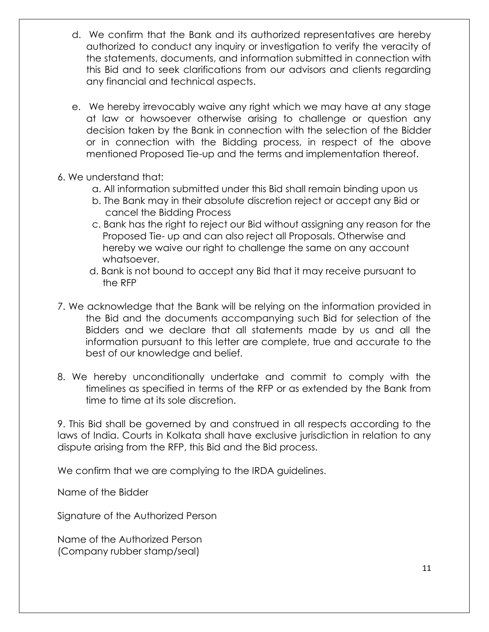- d. We confirm that the Bank and its authorized representatives are hereby authorized to conduct any inquiry or investigation to verify the veracity of the statements, documents, and information submitted in connection with this Bid and to seek clarifications from our advisors and clients regarding any financial and technical aspects.
- e. We hereby irrevocably waive any right which we may have at any stage at law or howsoever otherwise arising to challenge or question any decision taken by the Bank in connection with the selection of the Bidder or in connection with the Bidding process, in respect of the above mentioned Proposed Tie-up and the terms and implementation thereof.
- 6. We understand that:
	- a. All information submitted under this Bid shall remain binding upon us
	- b. The Bank may in their absolute discretion reject or accept any Bid or cancel the Bidding Process
	- c. Bank has the right to reject our Bid without assigning any reason for the Proposed Tie- up and can also reject all Proposals. Otherwise and hereby we waive our right to challenge the same on any account whatsoever.
	- d. Bank is not bound to accept any Bid that it may receive pursuant to the RFP
- 7. We acknowledge that the Bank will be relying on the information provided in the Bid and the documents accompanying such Bid for selection of the Bidders and we declare that all statements made by us and all the information pursuant to this letter are complete, true and accurate to the best of our knowledge and belief.
- 8. We hereby unconditionally undertake and commit to comply with the timelines as specified in terms of the RFP or as extended by the Bank from time to time at its sole discretion.

9. This Bid shall be governed by and construed in all respects according to the laws of India. Courts in Kolkata shall have exclusive jurisdiction in relation to any dispute arising from the RFP, this Bid and the Bid process.

We confirm that we are complying to the IRDA guidelines.

Name of the Bidder

Signature of the Authorized Person

Name of the Authorized Person (Company rubber stamp/seal)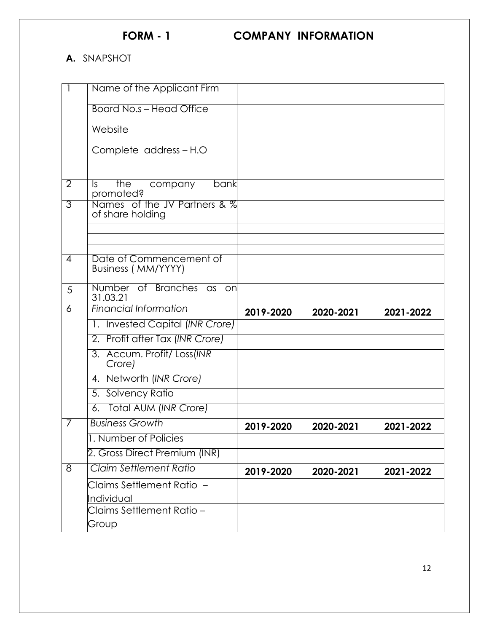## **A.** SNAPSHOT

|                     | Name of the Applicant Firm                       |           |           |           |
|---------------------|--------------------------------------------------|-----------|-----------|-----------|
|                     | <b>Board No.s - Head Office</b>                  |           |           |           |
|                     | Website                                          |           |           |           |
|                     | Complete address-H.O                             |           |           |           |
| $\overline{2}$      | the<br>company<br>bank<br>ls.<br>promoted?       |           |           |           |
| $\overline{3}$      | Names of the JV Partners & %<br>of share holding |           |           |           |
|                     |                                                  |           |           |           |
|                     |                                                  |           |           |           |
| $\overline{4}$      | Date of Commencement of<br>Business (MM/YYYY)    |           |           |           |
| 5                   | Number of Branches as<br>on<br>31.03.21          |           |           |           |
| $\overline{6}$      | <b>Financial Information</b>                     | 2019-2020 | 2020-2021 | 2021-2022 |
|                     | 1. Invested Capital (INR Crore)                  |           |           |           |
|                     | 2. Profit after Tax (INR Crore)                  |           |           |           |
|                     |                                                  |           |           |           |
|                     | 3. Accum. Profit/ Loss(INR<br>Crore)             |           |           |           |
|                     | 4. Networth (INR Crore)                          |           |           |           |
|                     | 5. Solvency Ratio                                |           |           |           |
|                     | 6. Total AUM (INR Crore)                         |           |           |           |
| 7                   | <b>Business Growth</b>                           | 2019-2020 | 2020-2021 | 2021-2022 |
|                     | 1. Number of Policies                            |           |           |           |
|                     | 2. Gross Direct Premium (INR)                    |           |           |           |
| $\overline{\infty}$ | Claim Settlement Ratio                           | 2019-2020 | 2020-2021 | 2021-2022 |
|                     | Claims Settlement Ratio  –                       |           |           |           |
|                     | Individual                                       |           |           |           |
|                     | Claims Settlement Ratio –<br>Group               |           |           |           |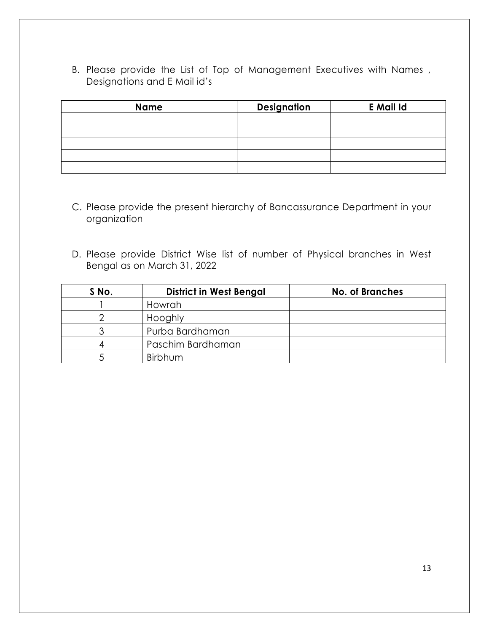B. Please provide the List of Top of Management Executives with Names , Designations and E Mail id"s

| <b>Name</b> | <b>Designation</b> | <b>E</b> Mail Id |
|-------------|--------------------|------------------|
|             |                    |                  |
|             |                    |                  |
|             |                    |                  |
|             |                    |                  |
|             |                    |                  |

- C. Please provide the present hierarchy of Bancassurance Department in your organization
- D. Please provide District Wise list of number of Physical branches in West Bengal as on March 31, 2022

| S No. | <b>District in West Bengal</b> | <b>No. of Branches</b> |
|-------|--------------------------------|------------------------|
|       | Howrah                         |                        |
|       | Hooghly                        |                        |
|       | Purba Bardhaman                |                        |
|       | Paschim Bardhaman              |                        |
|       | Birbhum                        |                        |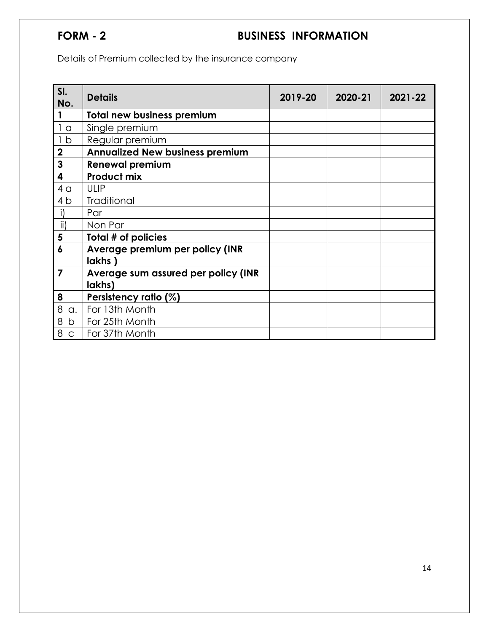# **FORM - 2 BUSINESS INFORMATION**

Details of Premium collected by the insurance company

| SI.<br>No.     | <b>Details</b>                         | 2019-20 | 2020-21 | 2021-22 |
|----------------|----------------------------------------|---------|---------|---------|
|                | <b>Total new business premium</b>      |         |         |         |
| 1 <sub>a</sub> | Single premium                         |         |         |         |
| 1 <sub>b</sub> | Regular premium                        |         |         |         |
| $\mathbf 2$    | <b>Annualized New business premium</b> |         |         |         |
| 3              | <b>Renewal premium</b>                 |         |         |         |
| 4              | <b>Product mix</b>                     |         |         |         |
| 4 <sub>q</sub> | <b>ULIP</b>                            |         |         |         |
| 4 b            | <b>Traditional</b>                     |         |         |         |
| i)             | Par                                    |         |         |         |
| $\mathsf{ii}$  | Non Par                                |         |         |         |
| 5              | Total # of policies                    |         |         |         |
| 6              | Average premium per policy (INR        |         |         |         |
|                | lakhs)                                 |         |         |         |
| $\overline{7}$ | Average sum assured per policy (INR    |         |         |         |
|                | lakhs)                                 |         |         |         |
| 8              | Persistency ratio (%)                  |         |         |         |
| 8<br>a.        | For 13th Month                         |         |         |         |
| 8<br>b         | For 25th Month                         |         |         |         |
| 8<br>C         | For 37th Month                         |         |         |         |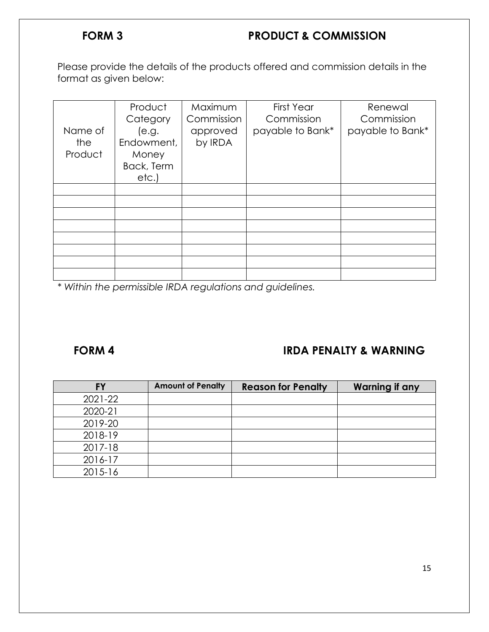# **FORM 3 PRODUCT & COMMISSION**

Please provide the details of the products offered and commission details in the format as given below:

| Name of<br>the<br>Product | Product<br>Category<br>(e.g.<br>Endowment,<br>Money<br>Back, Term<br>etc. | Maximum<br>Commission<br>approved<br>by IRDA | <b>First Year</b><br>Commission<br>payable to Bank* | Renewal<br>Commission<br>payable to Bank* |
|---------------------------|---------------------------------------------------------------------------|----------------------------------------------|-----------------------------------------------------|-------------------------------------------|
|                           |                                                                           |                                              |                                                     |                                           |
|                           |                                                                           |                                              |                                                     |                                           |
|                           |                                                                           |                                              |                                                     |                                           |
|                           |                                                                           |                                              |                                                     |                                           |
|                           |                                                                           |                                              |                                                     |                                           |
|                           |                                                                           |                                              |                                                     |                                           |
|                           |                                                                           |                                              |                                                     |                                           |
|                           |                                                                           |                                              |                                                     |                                           |

*\* Within the permissible IRDA regulations and guidelines.* 

# **FORM 4 IRDA PENALTY & WARNING**

| <b>FY</b> | <b>Amount of Penalty</b> | <b>Reason for Penalty</b> | <b>Warning if any</b> |
|-----------|--------------------------|---------------------------|-----------------------|
| 2021-22   |                          |                           |                       |
| 2020-21   |                          |                           |                       |
| 2019-20   |                          |                           |                       |
| 2018-19   |                          |                           |                       |
| 2017-18   |                          |                           |                       |
| 2016-17   |                          |                           |                       |
| 2015-16   |                          |                           |                       |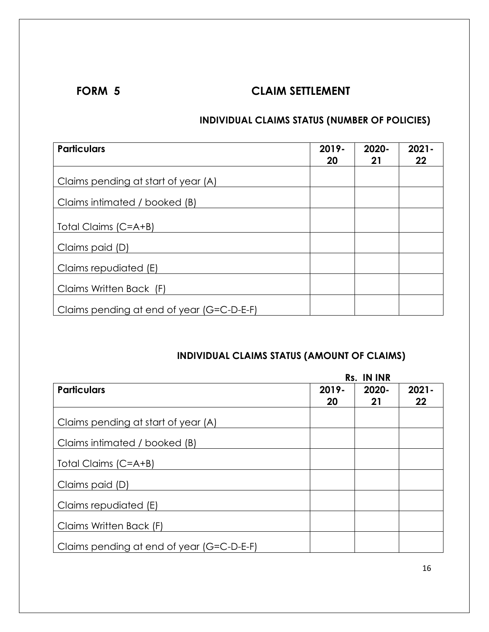# **FORM 5** CLAIM SETTLEMENT

# **INDIVIDUAL CLAIMS STATUS (NUMBER OF POLICIES)**

| <b>Particulars</b>                        | 2019-<br>20 | 2020-<br>21 | $2021 -$<br>22 |
|-------------------------------------------|-------------|-------------|----------------|
| Claims pending at start of year (A)       |             |             |                |
| Claims intimated / booked (B)             |             |             |                |
| Total Claims (C=A+B)                      |             |             |                |
| Claims paid (D)                           |             |             |                |
| Claims repudiated (E)                     |             |             |                |
| Claims Written Back (F)                   |             |             |                |
| Claims pending at end of year (G=C-D-E-F) |             |             |                |

# **INDIVIDUAL CLAIMS STATUS (AMOUNT OF CLAIMS)**

|                                           |       | Rs. IN INR |          |
|-------------------------------------------|-------|------------|----------|
| <b>Particulars</b>                        | 2019- | 2020-      | $2021 -$ |
|                                           | 20    | 21         | 22       |
| Claims pending at start of year (A)       |       |            |          |
| Claims intimated / booked (B)             |       |            |          |
| Total Claims (C=A+B)                      |       |            |          |
| Claims paid (D)                           |       |            |          |
| Claims repudiated (E)                     |       |            |          |
| Claims Written Back (F)                   |       |            |          |
| Claims pending at end of year (G=C-D-E-F) |       |            |          |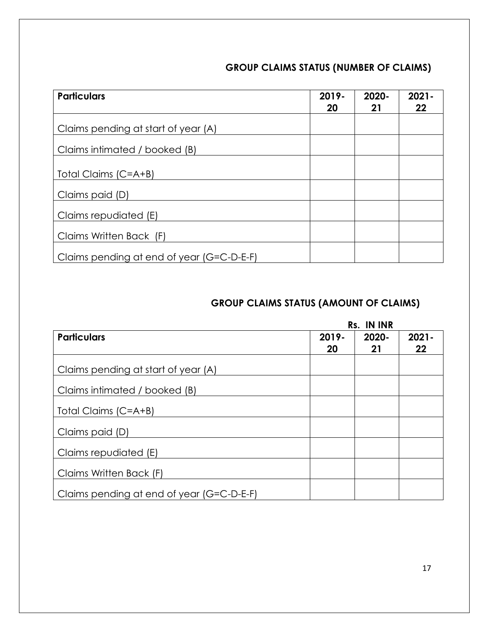# **GROUP CLAIMS STATUS (NUMBER OF CLAIMS)**

| <b>Particulars</b>                        | 2019-<br>20 | 2020-<br>21 | $2021 -$<br>22 |
|-------------------------------------------|-------------|-------------|----------------|
| Claims pending at start of year (A)       |             |             |                |
| Claims intimated / booked (B)             |             |             |                |
| Total Claims (C=A+B)                      |             |             |                |
| Claims paid (D)                           |             |             |                |
| Claims repudiated (E)                     |             |             |                |
| Claims Written Back (F)                   |             |             |                |
| Claims pending at end of year (G=C-D-E-F) |             |             |                |

# **GROUP CLAIMS STATUS (AMOUNT OF CLAIMS)**

|                                           |       | Rs. IN INR |          |
|-------------------------------------------|-------|------------|----------|
| <b>Particulars</b>                        | 2019- | $2020 -$   | $2021 -$ |
|                                           | 20    | 21         | 22       |
| Claims pending at start of year (A)       |       |            |          |
| Claims intimated / booked (B)             |       |            |          |
| Total Claims (C=A+B)                      |       |            |          |
| Claims paid (D)                           |       |            |          |
| Claims repudiated (E)                     |       |            |          |
| Claims Written Back (F)                   |       |            |          |
| Claims pending at end of year (G=C-D-E-F) |       |            |          |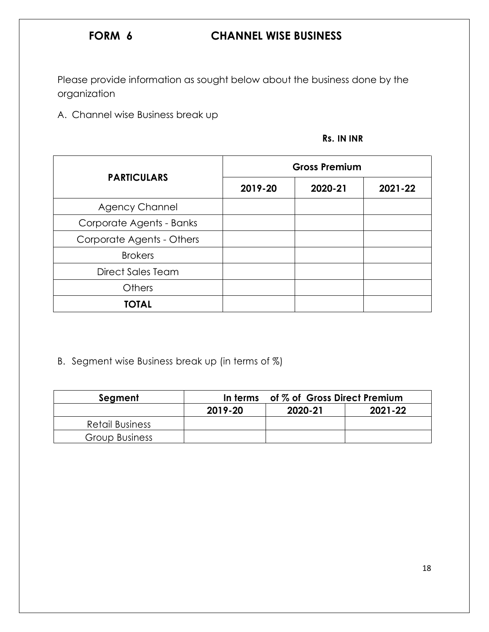# **FORM 6 CHANNEL WISE BUSINESS**

Please provide information as sought below about the business done by the organization

A. Channel wise Business break up

| Rs. IN INR |
|------------|
|            |

|                           |         | <b>Gross Premium</b> |         |
|---------------------------|---------|----------------------|---------|
| <b>PARTICULARS</b>        | 2019-20 | 2020-21              | 2021-22 |
| <b>Agency Channel</b>     |         |                      |         |
| Corporate Agents - Banks  |         |                      |         |
| Corporate Agents - Others |         |                      |         |
| <b>Brokers</b>            |         |                      |         |
| <b>Direct Sales Team</b>  |         |                      |         |
| <b>Others</b>             |         |                      |         |
| <b>TOTAL</b>              |         |                      |         |

# B. Segment wise Business break up (in terms of %)

| Segment               | In terms | of % of Gross Direct Premium |         |
|-----------------------|----------|------------------------------|---------|
|                       | 2019-20  | 2020-21                      | 2021-22 |
| Retail Business       |          |                              |         |
| <b>Group Business</b> |          |                              |         |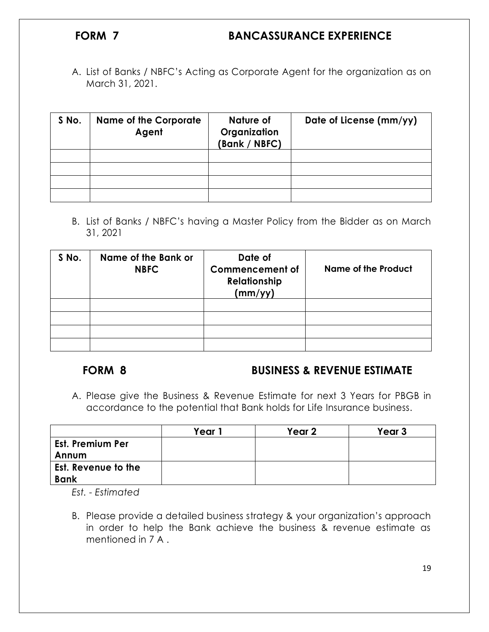# **FORM 7 BANCASSURANCE EXPERIENCE**

A. List of Banks / NBFC"s Acting as Corporate Agent for the organization as on March 31, 2021.

| S No. | <b>Name of the Corporate</b><br>Agent | Nature of<br>Organization<br>(Bank / NBFC) | Date of License (mm/yy) |
|-------|---------------------------------------|--------------------------------------------|-------------------------|
|       |                                       |                                            |                         |
|       |                                       |                                            |                         |
|       |                                       |                                            |                         |
|       |                                       |                                            |                         |

B. List of Banks / NBFC"s having a Master Policy from the Bidder as on March 31, 2021

| S No. | Name of the Bank or<br><b>NBFC</b> | Date of<br><b>Commencement of</b><br><b>Relationship</b><br>(mm/yy) | <b>Name of the Product</b> |
|-------|------------------------------------|---------------------------------------------------------------------|----------------------------|
|       |                                    |                                                                     |                            |
|       |                                    |                                                                     |                            |
|       |                                    |                                                                     |                            |
|       |                                    |                                                                     |                            |

### **FORM 8 BUSINESS & REVENUE ESTIMATE**

A. Please give the Business & Revenue Estimate for next 3 Years for PBGB in accordance to the potential that Bank holds for Life Insurance business.

|                            | Year | Year 2 | Year <sub>3</sub> |
|----------------------------|------|--------|-------------------|
| <b>Est. Premium Per</b>    |      |        |                   |
| Annum                      |      |        |                   |
| <b>Est. Revenue to the</b> |      |        |                   |
| <b>Bank</b>                |      |        |                   |

*Est. - Estimated*

B. Please provide a detailed business strategy & your organization"s approach in order to help the Bank achieve the business & revenue estimate as mentioned in 7 A .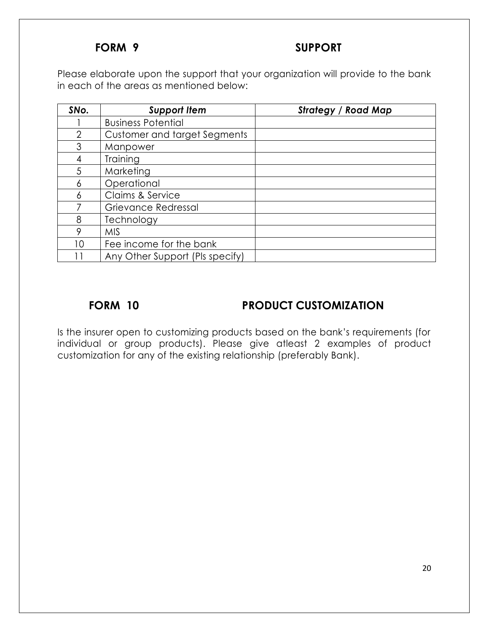# **FORM 9 SUPPORT**

Please elaborate upon the support that your organization will provide to the bank in each of the areas as mentioned below:

| SNo.           | <b>Support Item</b>                 | <b>Strategy / Road Map</b> |
|----------------|-------------------------------------|----------------------------|
|                | <b>Business Potential</b>           |                            |
| $\overline{2}$ | <b>Customer and target Segments</b> |                            |
| 3              | Manpower                            |                            |
| 4              | Training                            |                            |
| 5              | Marketing                           |                            |
| 6              | Operational                         |                            |
| 6              | Claims & Service                    |                            |
| 7              | Grievance Redressal                 |                            |
| 8              | Technology                          |                            |
| 9              | <b>MIS</b>                          |                            |
| 10             | Fee income for the bank             |                            |
|                | Any Other Support (Pls specify)     |                            |

# **FORM 10 PRODUCT CUSTOMIZATION**

Is the insurer open to customizing products based on the bank"s requirements (for individual or group products). Please give atleast 2 examples of product customization for any of the existing relationship (preferably Bank).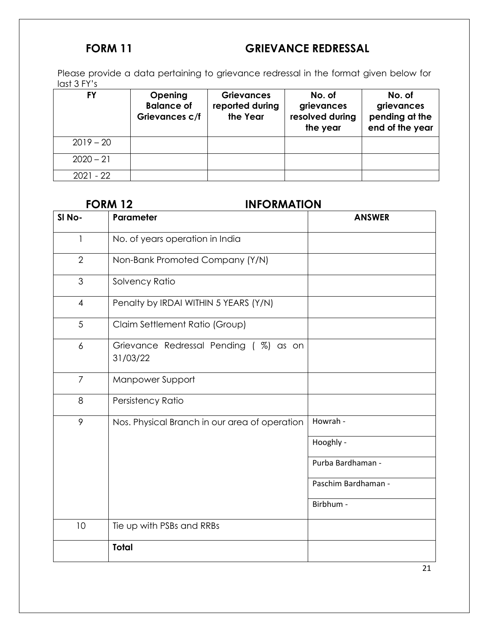# **FORM 11** GRIEVANCE REDRESSAL

Please provide a data pertaining to grievance redressal in the format given below for last 3 FY's

| FY          | <b>Opening</b><br><b>Balance of</b><br>Grievances c/f | <b>Grievances</b><br>reported during<br>the Year | No. of<br>grievances<br>resolved during<br>the year | No. of<br>grievances<br>pending at the<br>end of the year |
|-------------|-------------------------------------------------------|--------------------------------------------------|-----------------------------------------------------|-----------------------------------------------------------|
| $2019 - 20$ |                                                       |                                                  |                                                     |                                                           |
| $2020 - 21$ |                                                       |                                                  |                                                     |                                                           |
| $2021 - 22$ |                                                       |                                                  |                                                     |                                                           |

## **FORM 12 INFORMATION**

| SI <sub>No-</sub> | Parameter                                         | <b>ANSWER</b>       |
|-------------------|---------------------------------------------------|---------------------|
| 1                 | No. of years operation in India                   |                     |
| $\overline{2}$    | Non-Bank Promoted Company (Y/N)                   |                     |
| 3                 | Solvency Ratio                                    |                     |
| $\overline{4}$    | Penalty by IRDAI WITHIN 5 YEARS (Y/N)             |                     |
| 5                 | Claim Settlement Ratio (Group)                    |                     |
| $\overline{6}$    | Grievance Redressal Pending (%) as on<br>31/03/22 |                     |
| $\overline{7}$    | Manpower Support                                  |                     |
| 8                 | Persistency Ratio                                 |                     |
| 9                 | Nos. Physical Branch in our area of operation     | Howrah -            |
|                   |                                                   | Hooghly -           |
|                   |                                                   | Purba Bardhaman -   |
|                   |                                                   | Paschim Bardhaman - |
|                   |                                                   | Birbhum -           |
| 10                | Tie up with PSBs and RRBs                         |                     |
|                   | <b>Total</b>                                      |                     |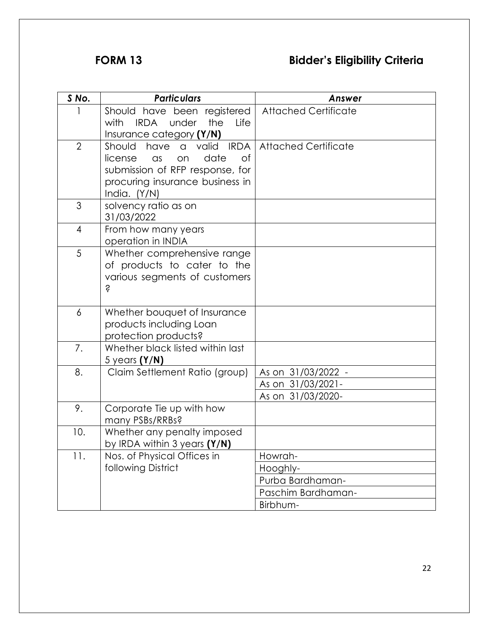# **FORM 13 Bidder's Eligibility Criteria**

|                | <b>Particulars</b>                                 |                             |
|----------------|----------------------------------------------------|-----------------------------|
| S No.          |                                                    | Answer                      |
|                | Should have been registered                        | <b>Attached Certificate</b> |
|                | <b>IRDA</b><br>under<br>the<br>Life<br>with        |                             |
|                | Insurance category (Y/N)                           |                             |
| $\overline{2}$ | <b>IRDA</b><br>Should<br>have<br>valid<br>$\alpha$ | <b>Attached Certificate</b> |
|                | date<br>license<br>$\alpha$ s<br>Οf<br>on          |                             |
|                | submission of RFP response, for                    |                             |
|                | procuring insurance business in                    |                             |
|                | India. $(Y/N)$                                     |                             |
| 3              | solvency ratio as on                               |                             |
|                | 31/03/2022                                         |                             |
| 4              | From how many years                                |                             |
|                | operation in INDIA                                 |                             |
| 5              | Whether comprehensive range                        |                             |
|                | of products to cater to the                        |                             |
|                | various segments of customers                      |                             |
|                | Ś                                                  |                             |
|                |                                                    |                             |
| 6              | Whether bouquet of Insurance                       |                             |
|                | products including Loan                            |                             |
|                | protection products?                               |                             |
| 7.             | Whether black listed within last                   |                             |
|                | 5 years $(Y/N)$                                    |                             |
| 8.             | Claim Settlement Ratio (group)                     | As on 31/03/2022 -          |
|                |                                                    | As on 31/03/2021-           |
|                |                                                    | As on 31/03/2020-           |
| 9.             | Corporate Tie up with how                          |                             |
|                | many PSBs/RRBs?                                    |                             |
| 10.            | Whether any penalty imposed                        |                             |
|                | by IRDA within $3$ years $(Y/N)$                   |                             |
| 11.            | Nos. of Physical Offices in                        | Howrah-                     |
|                | following District                                 | Hooghly-                    |
|                |                                                    | Purba Bardhaman-            |
|                |                                                    | Paschim Bardhaman-          |
|                |                                                    | Birbhum-                    |